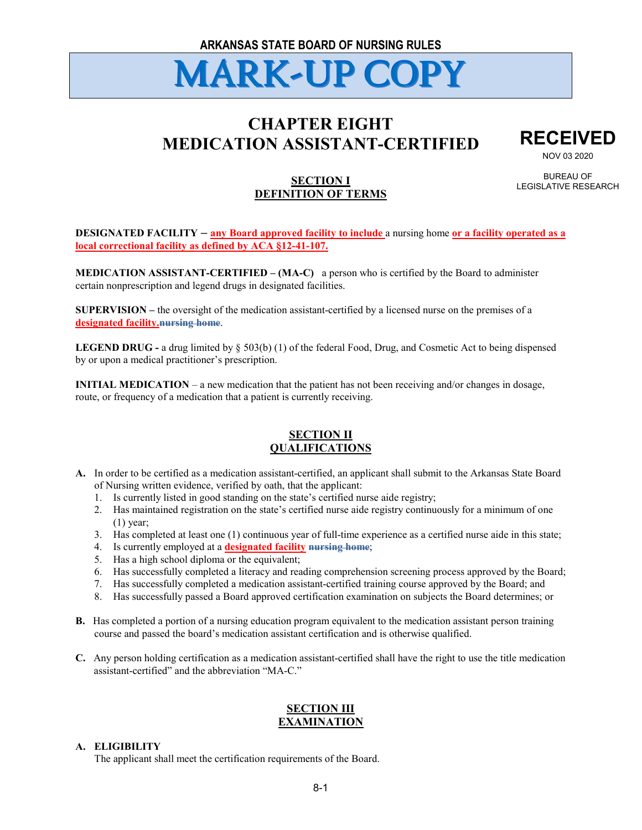# **CHAPTER EIGHT MEDICATION ASSISTANT-CERTIFIED**



NOV 03 2020

**SECTION I DEFINITION OF TERMS**

BUREAU OF LEGISLATIVE RESEARCH

#### **DESIGNATED FACILITY – any Board approved facility to include** a nursing home **or a facility operated as a local correctional facility as defined by ACA §12-41-107.**

**MEDICATION ASSISTANT-CERTIFIED – (MA-C)** a person who is certified by the Board to administer certain nonprescription and legend drugs in designated facilities.

**SUPERVISION –** the oversight of the medication assistant-certified by a licensed nurse on the premises of a **designated facility.nursing home**.

**LEGEND DRUG -** a drug limited by § 503(b) (1) of the federal Food, Drug, and Cosmetic Act to being dispensed by or upon a medical practitioner's prescription.

**INITIAL MEDICATION** – a new medication that the patient has not been receiving and/or changes in dosage, route, or frequency of a medication that a patient is currently receiving.

# **SECTION II QUALIFICATIONS**

- **A.** In order to be certified as a medication assistant-certified, an applicant shall submit to the Arkansas State Board of Nursing written evidence, verified by oath, that the applicant:
	- 1. Is currently listed in good standing on the state's certified nurse aide registry;
	- 2. Has maintained registration on the state's certified nurse aide registry continuously for a minimum of one (1) year;
	- 3. Has completed at least one (1) continuous year of full-time experience as a certified nurse aide in this state;
	- 4. Is currently employed at a **designated facility nursing home**;
	- 5. Has a high school diploma or the equivalent;
	- 6. Has successfully completed a literacy and reading comprehension screening process approved by the Board;
	- 7. Has successfully completed a medication assistant-certified training course approved by the Board; and
	- 8. Has successfully passed a Board approved certification examination on subjects the Board determines; or
- **B.** Has completed a portion of a nursing education program equivalent to the medication assistant person training course and passed the board's medication assistant certification and is otherwise qualified.
- **C.** Any person holding certification as a medication assistant-certified shall have the right to use the title medication assistant-certified" and the abbreviation "MA-C."

# **SECTION III EXAMINATION**

#### **A. ELIGIBILITY**

The applicant shall meet the certification requirements of the Board.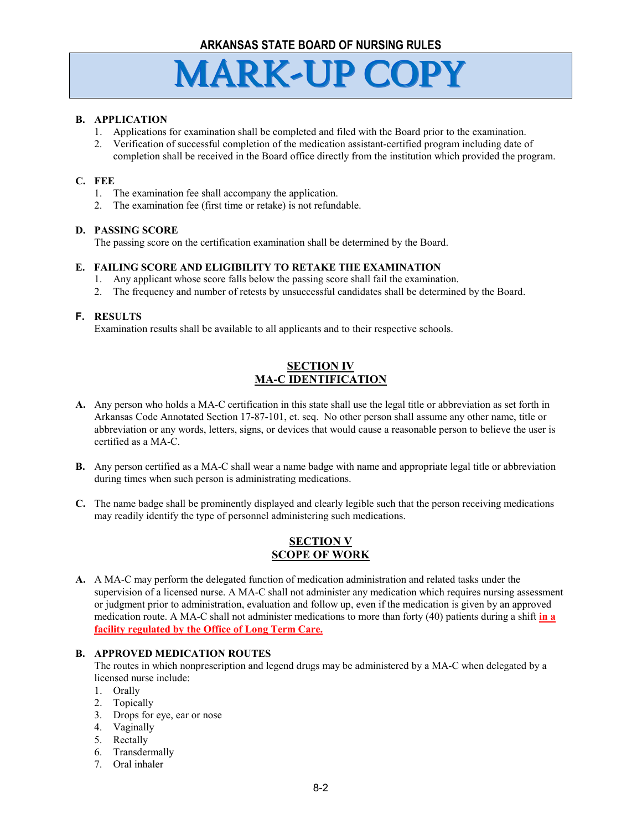#### **B. APPLICATION**

- 1. Applications for examination shall be completed and filed with the Board prior to the examination.
- 2. Verification of successful completion of the medication assistant-certified program including date of completion shall be received in the Board office directly from the institution which provided the program.

#### **C. FEE**

- 1. The examination fee shall accompany the application.
- 2. The examination fee (first time or retake) is not refundable.

#### **D. PASSING SCORE**

The passing score on the certification examination shall be determined by the Board.

#### **E. FAILING SCORE AND ELIGIBILITY TO RETAKE THE EXAMINATION**

- 1. Any applicant whose score falls below the passing score shall fail the examination.
- 2. The frequency and number of retests by unsuccessful candidates shall be determined by the Board.

#### **F. RESULTS**

Examination results shall be available to all applicants and to their respective schools.

# **SECTION IV MA-C IDENTIFICATION**

- **A.** Any person who holds a MA-C certification in this state shall use the legal title or abbreviation as set forth in Arkansas Code Annotated Section 17-87-101, et. seq. No other person shall assume any other name, title or abbreviation or any words, letters, signs, or devices that would cause a reasonable person to believe the user is certified as a MA-C.
- **B.** Any person certified as a MA-C shall wear a name badge with name and appropriate legal title or abbreviation during times when such person is administrating medications.
- **C.** The name badge shall be prominently displayed and clearly legible such that the person receiving medications may readily identify the type of personnel administering such medications.

# **SECTION V SCOPE OF WORK**

**A.** A MA-C may perform the delegated function of medication administration and related tasks under the supervision of a licensed nurse. A MA-C shall not administer any medication which requires nursing assessment or judgment prior to administration, evaluation and follow up, even if the medication is given by an approved medication route. A MA-C shall not administer medications to more than forty (40) patients during a shift **in a facility regulated by the Office of Long Term Care.**

#### **B. APPROVED MEDICATION ROUTES**

The routes in which nonprescription and legend drugs may be administered by a MA-C when delegated by a licensed nurse include:

- 1. Orally
- 2. Topically
- 3. Drops for eye, ear or nose
- 4. Vaginally
- 5. Rectally
- 6. Transdermally
- 7. Oral inhaler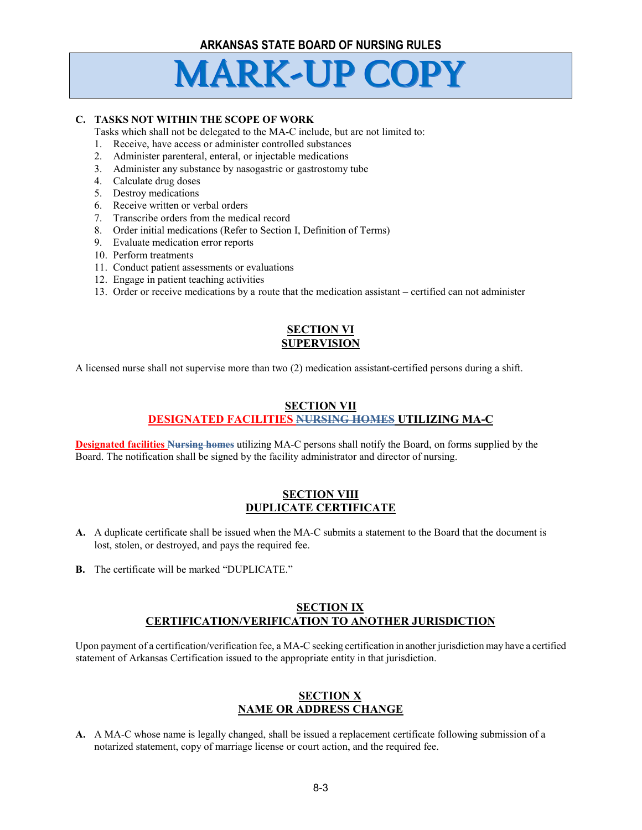

#### **C. TASKS NOT WITHIN THE SCOPE OF WORK**

Tasks which shall not be delegated to the MA-C include, but are not limited to:

- 1. Receive, have access or administer controlled substances
- 2. Administer parenteral, enteral, or injectable medications
- 3. Administer any substance by nasogastric or gastrostomy tube
- 4. Calculate drug doses
- 5. Destroy medications
- 6. Receive written or verbal orders
- 7. Transcribe orders from the medical record
- 8. Order initial medications (Refer to Section I, Definition of Terms)
- 9. Evaluate medication error reports
- 10. Perform treatments
- 11. Conduct patient assessments or evaluations
- 12. Engage in patient teaching activities
- 13. Order or receive medications by a route that the medication assistant certified can not administer

# **SECTION VI SUPERVISION**

A licensed nurse shall not supervise more than two (2) medication assistant-certified persons during a shift.

#### **SECTION VII DESIGNATED FACILITIES NURSING HOMES UTILIZING MA-C**

**Designated facilities Nursing homes** utilizing MA-C persons shall notify the Board, on forms supplied by the Board. The notification shall be signed by the facility administrator and director of nursing.

#### **SECTION VIII DUPLICATE CERTIFICATE**

- **A.** A duplicate certificate shall be issued when the MA-C submits a statement to the Board that the document is lost, stolen, or destroyed, and pays the required fee.
- **B.** The certificate will be marked "DUPLICATE."

#### **SECTION IX CERTIFICATION/VERIFICATION TO ANOTHER JURISDICTION**

Upon payment of a certification/verification fee, a MA-C seeking certification in another jurisdiction may have a certified statement of Arkansas Certification issued to the appropriate entity in that jurisdiction.

# **SECTION X NAME OR ADDRESS CHANGE**

**A.** A MA-C whose name is legally changed, shall be issued a replacement certificate following submission of a notarized statement, copy of marriage license or court action, and the required fee.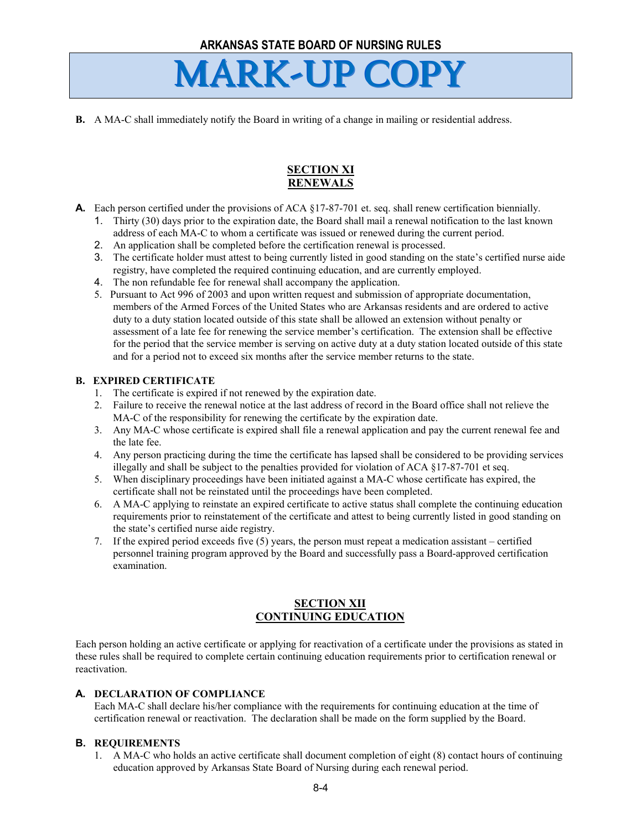**B.** A MA-C shall immediately notify the Board in writing of a change in mailing or residential address.

# **SECTION XI RENEWALS**

- **A.** Each person certified under the provisions of ACA §17-87-701 et. seq. shall renew certification biennially.
	- 1. Thirty (30) days prior to the expiration date, the Board shall mail a renewal notification to the last known address of each MA-C to whom a certificate was issued or renewed during the current period.
	- 2. An application shall be completed before the certification renewal is processed.
	- 3. The certificate holder must attest to being currently listed in good standing on the state's certified nurse aide registry, have completed the required continuing education, and are currently employed.
	- 4. The non refundable fee for renewal shall accompany the application.
	- 5. Pursuant to Act 996 of 2003 and upon written request and submission of appropriate documentation, members of the Armed Forces of the United States who are Arkansas residents and are ordered to active duty to a duty station located outside of this state shall be allowed an extension without penalty or assessment of a late fee for renewing the service member's certification. The extension shall be effective for the period that the service member is serving on active duty at a duty station located outside of this state and for a period not to exceed six months after the service member returns to the state.

# **B. EXPIRED CERTIFICATE**

- 1. The certificate is expired if not renewed by the expiration date.
- 2. Failure to receive the renewal notice at the last address of record in the Board office shall not relieve the MA-C of the responsibility for renewing the certificate by the expiration date.
- 3. Any MA-C whose certificate is expired shall file a renewal application and pay the current renewal fee and the late fee.
- 4. Any person practicing during the time the certificate has lapsed shall be considered to be providing services illegally and shall be subject to the penalties provided for violation of ACA §17-87-701 et seq.
- 5. When disciplinary proceedings have been initiated against a MA-C whose certificate has expired, the certificate shall not be reinstated until the proceedings have been completed.
- 6. A MA-C applying to reinstate an expired certificate to active status shall complete the continuing education requirements prior to reinstatement of the certificate and attest to being currently listed in good standing on the state's certified nurse aide registry.
- 7. If the expired period exceeds five (5) years, the person must repeat a medication assistant certified personnel training program approved by the Board and successfully pass a Board-approved certification examination.

# **SECTION XII CONTINUING EDUCATION**

Each person holding an active certificate or applying for reactivation of a certificate under the provisions as stated in these rules shall be required to complete certain continuing education requirements prior to certification renewal or reactivation.

# **A. DECLARATION OF COMPLIANCE**

Each MA-C shall declare his/her compliance with the requirements for continuing education at the time of certification renewal or reactivation. The declaration shall be made on the form supplied by the Board.

# **B. REQUIREMENTS**

1. A MA-C who holds an active certificate shall document completion of eight (8) contact hours of continuing education approved by Arkansas State Board of Nursing during each renewal period.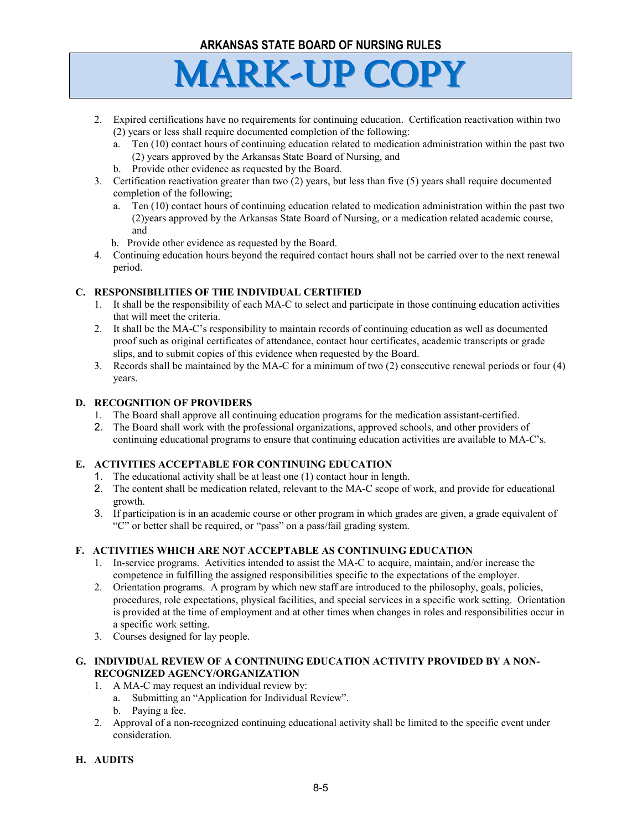

- 2. Expired certifications have no requirements for continuing education. Certification reactivation within two (2) years or less shall require documented completion of the following:
	- a. Ten (10) contact hours of continuing education related to medication administration within the past two (2) years approved by the Arkansas State Board of Nursing, and
	- b. Provide other evidence as requested by the Board.
- 3. Certification reactivation greater than two (2) years, but less than five (5) years shall require documented completion of the following;
	- a. Ten (10) contact hours of continuing education related to medication administration within the past two (2)years approved by the Arkansas State Board of Nursing, or a medication related academic course, and
	- b. Provide other evidence as requested by the Board.
- 4. Continuing education hours beyond the required contact hours shall not be carried over to the next renewal period.

# **C. RESPONSIBILITIES OF THE INDIVIDUAL CERTIFIED**

- 1. It shall be the responsibility of each MA-C to select and participate in those continuing education activities that will meet the criteria.
- 2. It shall be the MA-C's responsibility to maintain records of continuing education as well as documented proof such as original certificates of attendance, contact hour certificates, academic transcripts or grade slips, and to submit copies of this evidence when requested by the Board.
- 3. Records shall be maintained by the MA-C for a minimum of two (2) consecutive renewal periods or four (4) years.

#### **D. RECOGNITION OF PROVIDERS**

- 1. The Board shall approve all continuing education programs for the medication assistant-certified.
- 2. The Board shall work with the professional organizations, approved schools, and other providers of continuing educational programs to ensure that continuing education activities are available to MA-C's.

# **E. ACTIVITIES ACCEPTABLE FOR CONTINUING EDUCATION**

- 1. The educational activity shall be at least one (1) contact hour in length.
- 2. The content shall be medication related, relevant to the MA-C scope of work, and provide for educational growth.
- 3. If participation is in an academic course or other program in which grades are given, a grade equivalent of "C" or better shall be required, or "pass" on a pass/fail grading system.

# **F. ACTIVITIES WHICH ARE NOT ACCEPTABLE AS CONTINUING EDUCATION**

- 1. In-service programs. Activities intended to assist the MA-C to acquire, maintain, and/or increase the competence in fulfilling the assigned responsibilities specific to the expectations of the employer.
- 2. Orientation programs. A program by which new staff are introduced to the philosophy, goals, policies, procedures, role expectations, physical facilities, and special services in a specific work setting. Orientation is provided at the time of employment and at other times when changes in roles and responsibilities occur in a specific work setting.
- 3. Courses designed for lay people.

#### **G. INDIVIDUAL REVIEW OF A CONTINUING EDUCATION ACTIVITY PROVIDED BY A NON-RECOGNIZED AGENCY/ORGANIZATION**

#### 1. A MA-C may request an individual review by:

- a. Submitting an "Application for Individual Review".
- b. Paying a fee.
- 2. Approval of a non-recognized continuing educational activity shall be limited to the specific event under consideration.

#### **H. AUDITS**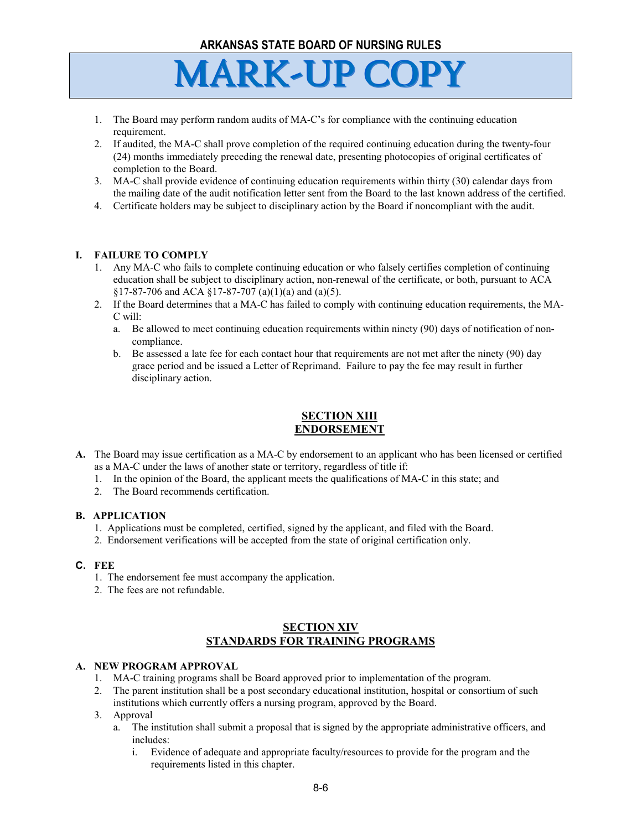- 1. The Board may perform random audits of MA-C's for compliance with the continuing education requirement.
- 2. If audited, the MA-C shall prove completion of the required continuing education during the twenty-four (24) months immediately preceding the renewal date, presenting photocopies of original certificates of completion to the Board.
- 3. MA-C shall provide evidence of continuing education requirements within thirty (30) calendar days from the mailing date of the audit notification letter sent from the Board to the last known address of the certified.
- 4. Certificate holders may be subject to disciplinary action by the Board if noncompliant with the audit.

# **I. FAILURE TO COMPLY**

- 1. Any MA-C who fails to complete continuing education or who falsely certifies completion of continuing education shall be subject to disciplinary action, non-renewal of the certificate, or both, pursuant to ACA §17-87-706 and ACA §17-87-707 (a)(1)(a) and (a)(5).
- 2. If the Board determines that a MA-C has failed to comply with continuing education requirements, the MA-C will:
	- a. Be allowed to meet continuing education requirements within ninety (90) days of notification of noncompliance.
	- b. Be assessed a late fee for each contact hour that requirements are not met after the ninety (90) day grace period and be issued a Letter of Reprimand. Failure to pay the fee may result in further disciplinary action.

# **SECTION XIII ENDORSEMENT**

- **A.** The Board may issue certification as a MA-C by endorsement to an applicant who has been licensed or certified as a MA-C under the laws of another state or territory, regardless of title if:
	- 1. In the opinion of the Board, the applicant meets the qualifications of MA-C in this state; and
	- 2. The Board recommends certification.

# **B. APPLICATION**

- 1. Applications must be completed, certified, signed by the applicant, and filed with the Board.
- 2. Endorsement verifications will be accepted from the state of original certification only.

# **C. FEE**

- 1. The endorsement fee must accompany the application.
- 2. The fees are not refundable.

# **SECTION XIV STANDARDS FOR TRAINING PROGRAMS**

# **A. NEW PROGRAM APPROVAL**

- 1. MA-C training programs shall be Board approved prior to implementation of the program.
- 2. The parent institution shall be a post secondary educational institution, hospital or consortium of such institutions which currently offers a nursing program, approved by the Board.
- 3. Approval
	- a. The institution shall submit a proposal that is signed by the appropriate administrative officers, and includes:
		- i. Evidence of adequate and appropriate faculty/resources to provide for the program and the requirements listed in this chapter.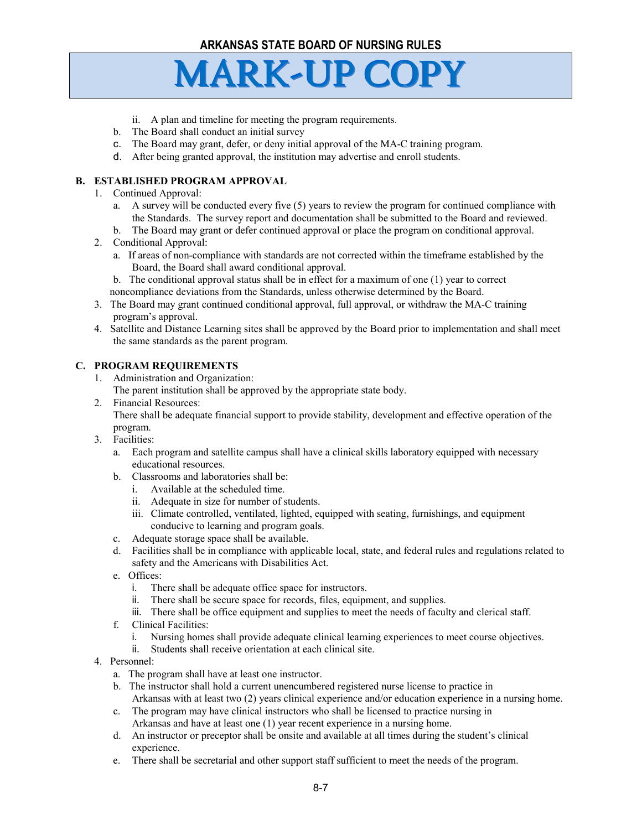- ii. A plan and timeline for meeting the program requirements.
- b. The Board shall conduct an initial survey
- c. The Board may grant, defer, or deny initial approval of the MA-C training program.
- d. After being granted approval, the institution may advertise and enroll students.

# **B. ESTABLISHED PROGRAM APPROVAL**

- 1. Continued Approval:
	- a. A survey will be conducted every five (5) years to review the program for continued compliance with the Standards. The survey report and documentation shall be submitted to the Board and reviewed.
	- b. The Board may grant or defer continued approval or place the program on conditional approval.
- 2. Conditional Approval:
	- a. If areas of non-compliance with standards are not corrected within the timeframe established by the Board, the Board shall award conditional approval.
	- b. The conditional approval status shall be in effect for a maximum of one (1) year to correct
	- noncompliance deviations from the Standards, unless otherwise determined by the Board.
- 3. The Board may grant continued conditional approval, full approval, or withdraw the MA-C training program's approval.
- 4. Satellite and Distance Learning sites shall be approved by the Board prior to implementation and shall meet the same standards as the parent program.

# **C. PROGRAM REQUIREMENTS**

- 1. Administration and Organization:
	- The parent institution shall be approved by the appropriate state body.
- 2. Financial Resources:

There shall be adequate financial support to provide stability, development and effective operation of the program.

- 3. Facilities:
	- a. Each program and satellite campus shall have a clinical skills laboratory equipped with necessary educational resources.
	- b. Classrooms and laboratories shall be:
		- i. Available at the scheduled time.
		- ii. Adequate in size for number of students.
		- iii. Climate controlled, ventilated, lighted, equipped with seating, furnishings, and equipment conducive to learning and program goals.
	- c. Adequate storage space shall be available.
	- d. Facilities shall be in compliance with applicable local, state, and federal rules and regulations related to safety and the Americans with Disabilities Act.
	- e. Offices:
		- i. There shall be adequate office space for instructors.
		- ii. There shall be secure space for records, files, equipment, and supplies.
		- iii. There shall be office equipment and supplies to meet the needs of faculty and clerical staff.
	- f. Clinical Facilities:
		- i. Nursing homes shall provide adequate clinical learning experiences to meet course objectives.
		- ii. Students shall receive orientation at each clinical site.
- 4. Personnel:
	- a. The program shall have at least one instructor.
	- b. The instructor shall hold a current unencumbered registered nurse license to practice in Arkansas with at least two (2) years clinical experience and/or education experience in a nursing home.
	- c. The program may have clinical instructors who shall be licensed to practice nursing in Arkansas and have at least one (1) year recent experience in a nursing home.
	- d. An instructor or preceptor shall be onsite and available at all times during the student's clinical experience.
	- e. There shall be secretarial and other support staff sufficient to meet the needs of the program.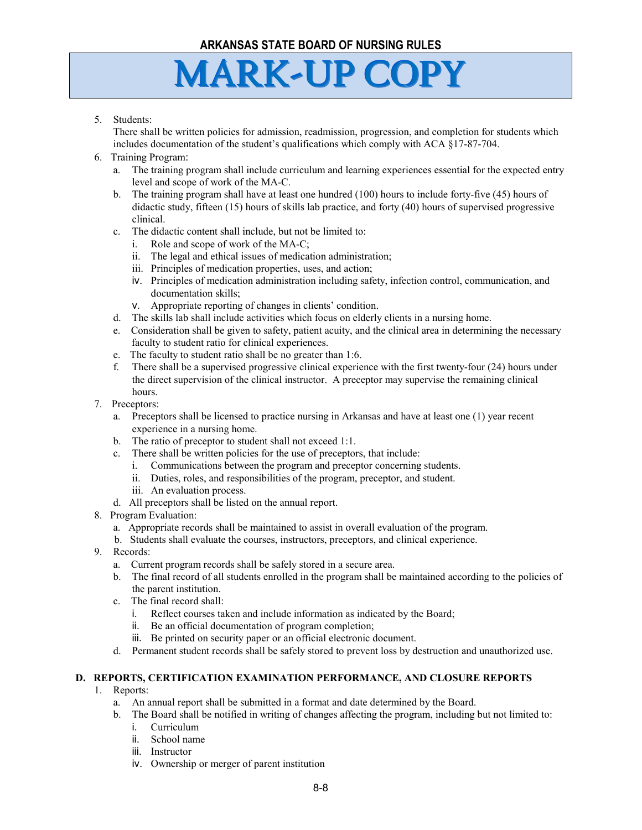# **MARK-UP COPY**

#### 5. Students:

There shall be written policies for admission, readmission, progression, and completion for students which includes documentation of the student's qualifications which comply with ACA §17-87-704.

- 6. Training Program:
	- a. The training program shall include curriculum and learning experiences essential for the expected entry level and scope of work of the MA-C.
	- b. The training program shall have at least one hundred (100) hours to include forty-five (45) hours of didactic study, fifteen (15) hours of skills lab practice, and forty (40) hours of supervised progressive clinical.
	- c. The didactic content shall include, but not be limited to:
		- i. Role and scope of work of the MA-C;
		- ii. The legal and ethical issues of medication administration;
		- iii. Principles of medication properties, uses, and action;
		- iv. Principles of medication administration including safety, infection control, communication, and documentation skills;
		- v. Appropriate reporting of changes in clients' condition.
	- d. The skills lab shall include activities which focus on elderly clients in a nursing home.
	- e. Consideration shall be given to safety, patient acuity, and the clinical area in determining the necessary faculty to student ratio for clinical experiences.
	- e. The faculty to student ratio shall be no greater than 1:6.
	- f. There shall be a supervised progressive clinical experience with the first twenty-four (24) hours under the direct supervision of the clinical instructor. A preceptor may supervise the remaining clinical hours.
- 7. Preceptors:
	- a. Preceptors shall be licensed to practice nursing in Arkansas and have at least one (1) year recent experience in a nursing home.
	- b. The ratio of preceptor to student shall not exceed 1:1.
	- c. There shall be written policies for the use of preceptors, that include:
		- i. Communications between the program and preceptor concerning students.
		- ii. Duties, roles, and responsibilities of the program, preceptor, and student.
		- iii. An evaluation process.
	- d. All preceptors shall be listed on the annual report.
- 8. Program Evaluation:
	- a. Appropriate records shall be maintained to assist in overall evaluation of the program.
	- b. Students shall evaluate the courses, instructors, preceptors, and clinical experience.
- 9. Records:
	- a. Current program records shall be safely stored in a secure area.
	- b. The final record of all students enrolled in the program shall be maintained according to the policies of the parent institution.
	- c. The final record shall:
		- i. Reflect courses taken and include information as indicated by the Board;
		- ii. Be an official documentation of program completion;
		- iii. Be printed on security paper or an official electronic document.
	- d. Permanent student records shall be safely stored to prevent loss by destruction and unauthorized use.

# **D. REPORTS, CERTIFICATION EXAMINATION PERFORMANCE, AND CLOSURE REPORTS**

- 1. Reports:
	- a. An annual report shall be submitted in a format and date determined by the Board.
	- b. The Board shall be notified in writing of changes affecting the program, including but not limited to:
		- i. Curriculum
		- ii. School name
		- iii. Instructor
		- iv. Ownership or merger of parent institution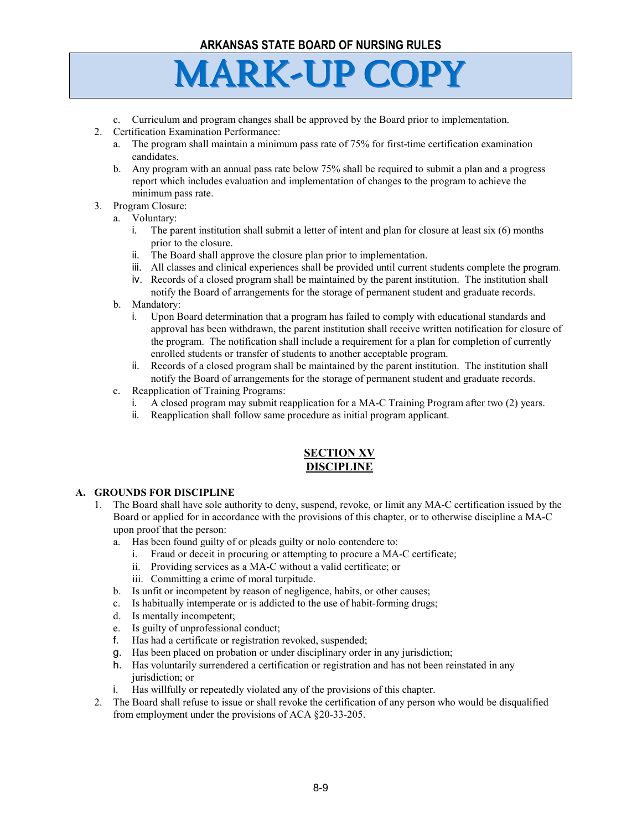# **MARK-UP COPY**

- c. Curriculum and program changes shall be approved by the Board prior to implementation.
- 2. Certification Examination Performance:
	- a. The program shall maintain a minimum pass rate of 75% for first-time certification examination candidates.
	- b. Any program with an annual pass rate below 75% shall be required to submit a plan and a progress report which includes evaluation and implementation of changes to the program to achieve the minimum pass rate.
- 3. Program Closure:
	- a. Voluntary:
		- i. The parent institution shall submit a letter of intent and plan for closure at least six (6) months prior to the closure.
		- ii. The Board shall approve the closure plan prior to implementation.
		- iii. All classes and clinical experiences shall be provided until current students complete the program.
		- iv. Records of a closed program shall be maintained by the parent institution. The institution shall notify the Board of arrangements for the storage of permanent student and graduate records.
		- b. Mandatory:
			- i. Upon Board determination that a program has failed to comply with educational standards and approval has been withdrawn, the parent institution shall receive written notification for closure of the program. The notification shall include a requirement for a plan for completion of currently enrolled students or transfer of students to another acceptable program.
			- ii. Records of a closed program shall be maintained by the parent institution. The institution shall notify the Board of arrangements for the storage of permanent student and graduate records.
		- c. Reapplication of Training Programs:
			- i. A closed program may submit reapplication for a MA-C Training Program after two (2) years.
			- ii. Reapplication shall follow same procedure as initial program applicant.

# **SECTION XV DISCIPLINE**

#### **A. GROUNDS FOR DISCIPLINE**

- 1. The Board shall have sole authority to deny, suspend, revoke, or limit any MA-C certification issued by the Board or applied for in accordance with the provisions of this chapter, or to otherwise discipline a MA-C upon proof that the person:
	- a. Has been found guilty of or pleads guilty or nolo contendere to:
		- i. Fraud or deceit in procuring or attempting to procure a MA-C certificate;
		- ii. Providing services as a MA-C without a valid certificate; or
		- iii. Committing a crime of moral turpitude.
	- b. Is unfit or incompetent by reason of negligence, habits, or other causes;
	- c. Is habitually intemperate or is addicted to the use of habit-forming drugs;
	- d. Is mentally incompetent;
	- e. Is guilty of unprofessional conduct;
	- f. Has had a certificate or registration revoked, suspended;
	- g. Has been placed on probation or under disciplinary order in any jurisdiction;
	- h. Has voluntarily surrendered a certification or registration and has not been reinstated in any jurisdiction; or
	- i. Has willfully or repeatedly violated any of the provisions of this chapter.
- 2. The Board shall refuse to issue or shall revoke the certification of any person who would be disqualified from employment under the provisions of ACA §20-33-205.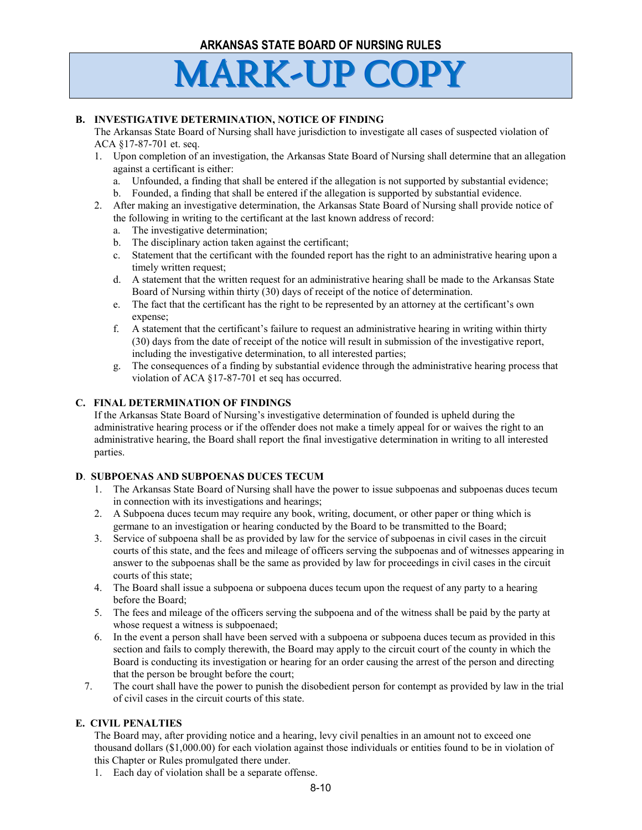#### **B. INVESTIGATIVE DETERMINATION, NOTICE OF FINDING**

The Arkansas State Board of Nursing shall have jurisdiction to investigate all cases of suspected violation of ACA §17-87-701 et. seq.

- 1. Upon completion of an investigation, the Arkansas State Board of Nursing shall determine that an allegation against a certificant is either:
	- a. Unfounded, a finding that shall be entered if the allegation is not supported by substantial evidence;
	- b. Founded, a finding that shall be entered if the allegation is supported by substantial evidence.
- 2. After making an investigative determination, the Arkansas State Board of Nursing shall provide notice of the following in writing to the certificant at the last known address of record:
	- a. The investigative determination;
	- b. The disciplinary action taken against the certificant;
	- c. Statement that the certificant with the founded report has the right to an administrative hearing upon a timely written request;
	- d. A statement that the written request for an administrative hearing shall be made to the Arkansas State Board of Nursing within thirty (30) days of receipt of the notice of determination.
	- e. The fact that the certificant has the right to be represented by an attorney at the certificant's own expense;
	- f. A statement that the certificant's failure to request an administrative hearing in writing within thirty (30) days from the date of receipt of the notice will result in submission of the investigative report, including the investigative determination, to all interested parties;
	- g. The consequences of a finding by substantial evidence through the administrative hearing process that violation of ACA §17-87-701 et seq has occurred.

#### **C. FINAL DETERMINATION OF FINDINGS**

If the Arkansas State Board of Nursing's investigative determination of founded is upheld during the administrative hearing process or if the offender does not make a timely appeal for or waives the right to an administrative hearing, the Board shall report the final investigative determination in writing to all interested parties.

#### **D**. **SUBPOENAS AND SUBPOENAS DUCES TECUM**

- 1. The Arkansas State Board of Nursing shall have the power to issue subpoenas and subpoenas duces tecum in connection with its investigations and hearings;
- 2. A Subpoena duces tecum may require any book, writing, document, or other paper or thing which is germane to an investigation or hearing conducted by the Board to be transmitted to the Board;
- 3. Service of subpoena shall be as provided by law for the service of subpoenas in civil cases in the circuit courts of this state, and the fees and mileage of officers serving the subpoenas and of witnesses appearing in answer to the subpoenas shall be the same as provided by law for proceedings in civil cases in the circuit courts of this state;
- 4. The Board shall issue a subpoena or subpoena duces tecum upon the request of any party to a hearing before the Board;
- 5. The fees and mileage of the officers serving the subpoena and of the witness shall be paid by the party at whose request a witness is subpoenaed;
- 6. In the event a person shall have been served with a subpoena or subpoena duces tecum as provided in this section and fails to comply therewith, the Board may apply to the circuit court of the county in which the Board is conducting its investigation or hearing for an order causing the arrest of the person and directing that the person be brought before the court;
- 7. The court shall have the power to punish the disobedient person for contempt as provided by law in the trial of civil cases in the circuit courts of this state.

# **E. CIVIL PENALTIES**

The Board may, after providing notice and a hearing, levy civil penalties in an amount not to exceed one thousand dollars (\$1,000.00) for each violation against those individuals or entities found to be in violation of this Chapter or Rules promulgated there under.

1. Each day of violation shall be a separate offense.